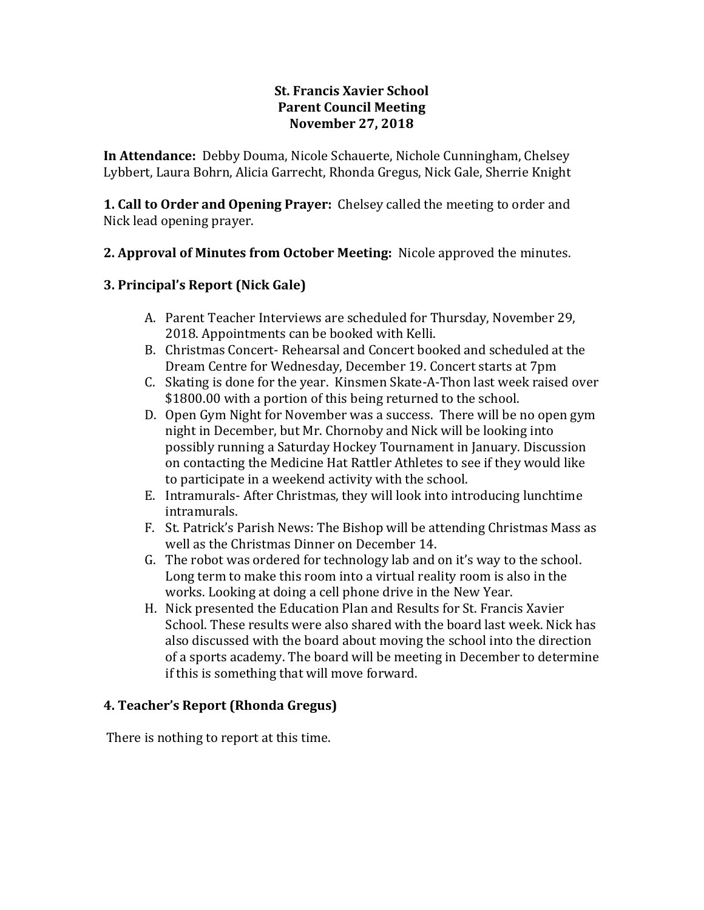### **St. Francis Xavier School Parent Council Meeting November 27, 2018**

**In Attendance:** Debby Douma, Nicole Schauerte, Nichole Cunningham, Chelsey Lybbert, Laura Bohrn, Alicia Garrecht, Rhonda Gregus, Nick Gale, Sherrie Knight

**1. Call to Order and Opening Prayer:** Chelsey called the meeting to order and Nick lead opening prayer.

# **2. Approval of Minutes from October Meeting:** Nicole approved the minutes.

# **3. Principal's Report (Nick Gale)**

- A. Parent Teacher Interviews are scheduled for Thursday, November 29, 2018. Appointments can be booked with Kelli.
- B. Christmas Concert- Rehearsal and Concert booked and scheduled at the Dream Centre for Wednesday, December 19. Concert starts at 7pm
- C. Skating is done for the year. Kinsmen Skate-A-Thon last week raised over \$1800.00 with a portion of this being returned to the school.
- D. Open Gym Night for November was a success. There will be no open gym night in December, but Mr. Chornoby and Nick will be looking into possibly running a Saturday Hockey Tournament in January. Discussion on contacting the Medicine Hat Rattler Athletes to see if they would like to participate in a weekend activity with the school.
- E. Intramurals- After Christmas, they will look into introducing lunchtime intramurals.
- F. St. Patrick's Parish News: The Bishop will be attending Christmas Mass as well as the Christmas Dinner on December 14.
- G. The robot was ordered for technology lab and on it's way to the school. Long term to make this room into a virtual reality room is also in the works. Looking at doing a cell phone drive in the New Year.
- H. Nick presented the Education Plan and Results for St. Francis Xavier School. These results were also shared with the board last week. Nick has also discussed with the board about moving the school into the direction of a sports academy. The board will be meeting in December to determine if this is something that will move forward.

# **4. Teacher's Report (Rhonda Gregus)**

There is nothing to report at this time.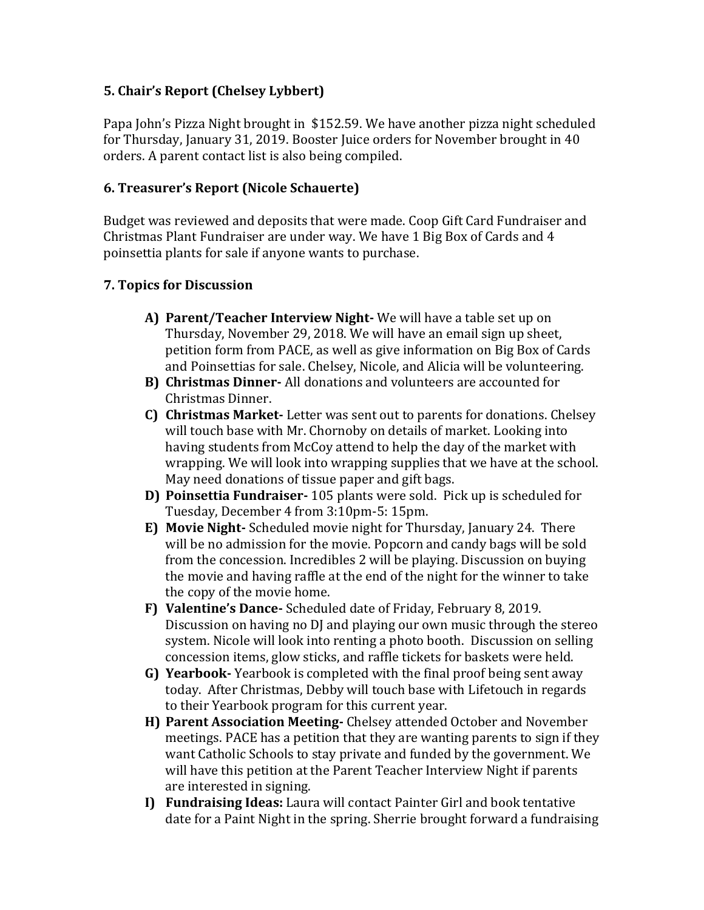# **5. Chair's Report (Chelsey Lybbert)**

Papa John's Pizza Night brought in \$152.59. We have another pizza night scheduled for Thursday, January 31, 2019. Booster Juice orders for November brought in 40 orders. A parent contact list is also being compiled.

# **6. Treasurer's Report (Nicole Schauerte)**

Budget was reviewed and deposits that were made. Coop Gift Card Fundraiser and Christmas Plant Fundraiser are under way. We have 1 Big Box of Cards and 4 poinsettia plants for sale if anyone wants to purchase.

### **7. Topics for Discussion**

- **A) Parent/Teacher Interview Night-** We will have a table set up on Thursday, November 29, 2018. We will have an email sign up sheet, petition form from PACE, as well as give information on Big Box of Cards and Poinsettias for sale. Chelsey, Nicole, and Alicia will be volunteering.
- **B) Christmas Dinner-** All donations and volunteers are accounted for Christmas Dinner.
- **C) Christmas Market-** Letter was sent out to parents for donations. Chelsey will touch base with Mr. Chornoby on details of market. Looking into having students from McCoy attend to help the day of the market with wrapping. We will look into wrapping supplies that we have at the school. May need donations of tissue paper and gift bags.
- **D) Poinsettia Fundraiser-** 105 plants were sold. Pick up is scheduled for Tuesday, December 4 from 3:10pm-5: 15pm.
- **E) Movie Night-** Scheduled movie night for Thursday, January 24. There will be no admission for the movie. Popcorn and candy bags will be sold from the concession. Incredibles 2 will be playing. Discussion on buying the movie and having raffle at the end of the night for the winner to take the copy of the movie home.
- **F) Valentine's Dance-** Scheduled date of Friday, February 8, 2019. Discussion on having no DJ and playing our own music through the stereo system. Nicole will look into renting a photo booth. Discussion on selling concession items, glow sticks, and raffle tickets for baskets were held.
- **G) Yearbook-** Yearbook is completed with the final proof being sent away today. After Christmas, Debby will touch base with Lifetouch in regards to their Yearbook program for this current year.
- **H) Parent Association Meeting-** Chelsey attended October and November meetings. PACE has a petition that they are wanting parents to sign if they want Catholic Schools to stay private and funded by the government. We will have this petition at the Parent Teacher Interview Night if parents are interested in signing.
- **I) Fundraising Ideas:** Laura will contact Painter Girl and book tentative date for a Paint Night in the spring. Sherrie brought forward a fundraising